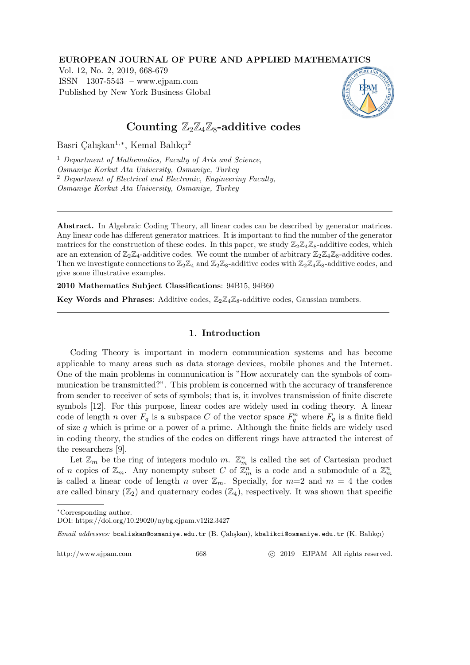### EUROPEAN JOURNAL OF PURE AND APPLIED MATHEMATICS

Vol. 12, No. 2, 2019, 668-679 ISSN 1307-5543 – www.ejpam.com Published by New York Business Global



# Counting  $\mathbb{Z}_2\mathbb{Z}_4\mathbb{Z}_8$ -additive codes

Basri Çalışkan<sup>1,\*</sup>, Kemal Balıkçı<sup>2</sup>

<sup>1</sup> Department of Mathematics, Faculty of Arts and Science, Osmaniye Korkut Ata University, Osmaniye, Turkey <sup>2</sup> Department of Electrical and Electronic, Engineering Faculty, Osmaniye Korkut Ata University, Osmaniye, Turkey

Abstract. In Algebraic Coding Theory, all linear codes can be described by generator matrices. Any linear code has different generator matrices. It is important to find the number of the generator matrices for the construction of these codes. In this paper, we study  $\mathbb{Z}_2\mathbb{Z}_4\mathbb{Z}_8$ -additive codes, which are an extension of  $\mathbb{Z}_2\mathbb{Z}_4$ -additive codes. We count the number of arbitrary  $\mathbb{Z}_2\mathbb{Z}_4\mathbb{Z}_8$ -additive codes. Then we investigate connections to  $\mathbb{Z}_2\mathbb{Z}_4$  and  $\mathbb{Z}_2\mathbb{Z}_8$ -additive codes with  $\mathbb{Z}_2\mathbb{Z}_4\mathbb{Z}_8$ -additive codes, and give some illustrative examples.

2010 Mathematics Subject Classifications: 94B15, 94B60

Key Words and Phrases: Additive codes,  $\mathbb{Z}_2 \mathbb{Z}_4 \mathbb{Z}_8$ -additive codes, Gaussian numbers.

## 1. Introduction

Coding Theory is important in modern communication systems and has become applicable to many areas such as data storage devices, mobile phones and the Internet. One of the main problems in communication is "How accurately can the symbols of communication be transmitted?". This problem is concerned with the accuracy of transference from sender to receiver of sets of symbols; that is, it involves transmission of finite discrete symbols [12]. For this purpose, linear codes are widely used in coding theory. A linear code of length n over  $F_q$  is a subspace C of the vector space  $F_q^n$  where  $F_q$  is a finite field of size  $q$  which is prime or a power of a prime. Although the finite fields are widely used in coding theory, the studies of the codes on different rings have attracted the interest of the researchers [9].

Let  $\mathbb{Z}_m$  be the ring of integers modulo m.  $\mathbb{Z}_m^n$  is called the set of Cartesian product of n copies of  $\mathbb{Z}_m$ . Any nonempty subset C of  $\mathbb{Z}_m^n$  is a code and a submodule of a  $\mathbb{Z}_m^n$ is called a linear code of length n over  $\mathbb{Z}_m$ . Specially, for  $m=2$  and  $m=4$  the codes are called binary  $(\mathbb{Z}_2)$  and quaternary codes  $(\mathbb{Z}_4)$ , respectively. It was shown that specific

Email addresses: bcaliskan@osmaniye.edu.tr (B. Calışkan), kbalikci@osmaniye.edu.tr (K. Balıkçı)

http://www.ejpam.com 668 c 2019 EJPAM All rights reserved.

<sup>∗</sup>Corresponding author.

DOI: https://doi.org/10.29020/nybg.ejpam.v12i2.3427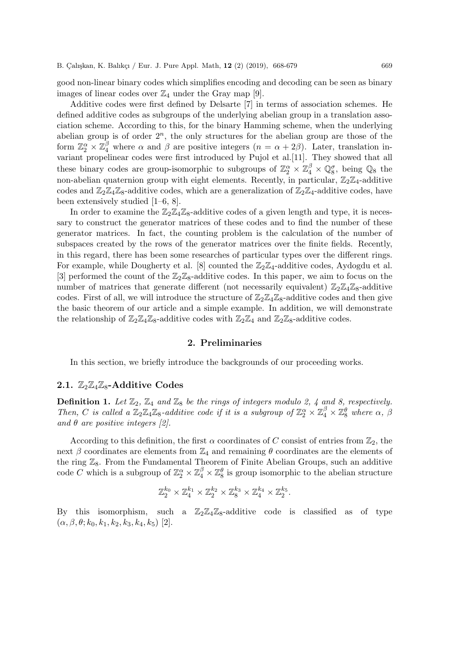good non-linear binary codes which simplifies encoding and decoding can be seen as binary images of linear codes over  $\mathbb{Z}_4$  under the Gray map [9].

Additive codes were first defined by Delsarte [7] in terms of association schemes. He defined additive codes as subgroups of the underlying abelian group in a translation association scheme. According to this, for the binary Hamming scheme, when the underlying abelian group is of order  $2^n$ , the only structures for the abelian group are those of the form  $\mathbb{Z}_2^{\alpha} \times \mathbb{Z}_4^{\beta}$  where  $\alpha$  and  $\beta$  are positive integers  $(n = \alpha + 2\beta)$ . Later, translation invariant propelinear codes were first introduced by Pujol et al.[11]. They showed that all these binary codes are group-isomorphic to subgroups of  $\mathbb{Z}_2^{\alpha} \times \mathbb{Z}_4^{\beta} \times \mathbb{Q}_8^{\sigma}$ , being  $\mathbb{Q}_8$  the non-abelian quaternion group with eight elements. Recently, in particular,  $\mathbb{Z}_2\mathbb{Z}_4$ -additive codes and  $\mathbb{Z}_2\mathbb{Z}_4\mathbb{Z}_8$ -additive codes, which are a generalization of  $\mathbb{Z}_2\mathbb{Z}_4$ -additive codes, have been extensively studied [1–6, 8].

In order to examine the  $\mathbb{Z}_2\mathbb{Z}_4\mathbb{Z}_8$ -additive codes of a given length and type, it is necessary to construct the generator matrices of these codes and to find the number of these generator matrices. In fact, the counting problem is the calculation of the number of subspaces created by the rows of the generator matrices over the finite fields. Recently, in this regard, there has been some researches of particular types over the different rings. For example, while Dougherty et al. [8] counted the  $\mathbb{Z}_2\mathbb{Z}_4$ -additive codes, Aydogdu et al. [3] performed the count of the  $\mathbb{Z}_2\mathbb{Z}_8$ -additive codes. In this paper, we aim to focus on the number of matrices that generate different (not necessarily equivalent)  $\mathbb{Z}_2\mathbb{Z}_4\mathbb{Z}_8$ -additive codes. First of all, we will introduce the structure of  $\mathbb{Z}_2\mathbb{Z}_4\mathbb{Z}_8$ -additive codes and then give the basic theorem of our article and a simple example. In addition, we will demonstrate the relationship of  $\mathbb{Z}_2\mathbb{Z}_4\mathbb{Z}_8$ -additive codes with  $\mathbb{Z}_2\mathbb{Z}_4$  and  $\mathbb{Z}_2\mathbb{Z}_8$ -additive codes.

### 2. Preliminaries

In this section, we briefly introduce the backgrounds of our proceeding works.

### 2.1.  $\mathbb{Z}_2 \mathbb{Z}_4 \mathbb{Z}_8$ -Additive Codes

**Definition 1.** Let  $\mathbb{Z}_2$ ,  $\mathbb{Z}_4$  and  $\mathbb{Z}_8$  be the rings of integers modulo 2, 4 and 8, respectively. Then, C is called a  $\mathbb{Z}_2\mathbb{Z}_4\mathbb{Z}_8$ -additive code if it is a subgroup of  $\mathbb{Z}_2^{\alpha} \times \mathbb{Z}_4^{\beta} \times \mathbb{Z}_8^{\theta}$  where  $\alpha$ ,  $\beta$ and  $\theta$  are positive integers [2].

According to this definition, the first  $\alpha$  coordinates of C consist of entries from  $\mathbb{Z}_2$ , the next  $\beta$  coordinates are elements from  $\mathbb{Z}_4$  and remaining  $\theta$  coordinates are the elements of the ring  $\mathbb{Z}_8$ . From the Fundamental Theorem of Finite Abelian Groups, such an additive code C which is a subgroup of  $\mathbb{Z}_2^{\alpha} \times \mathbb{Z}_4^{\beta} \times \mathbb{Z}_8^{\theta}$  is group isomorphic to the abelian structure

$$
\mathbb{Z}_2^{k_0} \times \mathbb{Z}_4^{k_1} \times \mathbb{Z}_2^{k_2} \times \mathbb{Z}_8^{k_3} \times \mathbb{Z}_4^{k_4} \times \mathbb{Z}_2^{k_5}.
$$

By this isomorphism, such a  $\mathbb{Z}_2\mathbb{Z}_4\mathbb{Z}_8$ -additive code is classified as of type  $(\alpha, \beta, \theta; k_0, k_1, k_2, k_3, k_4, k_5)$  [2].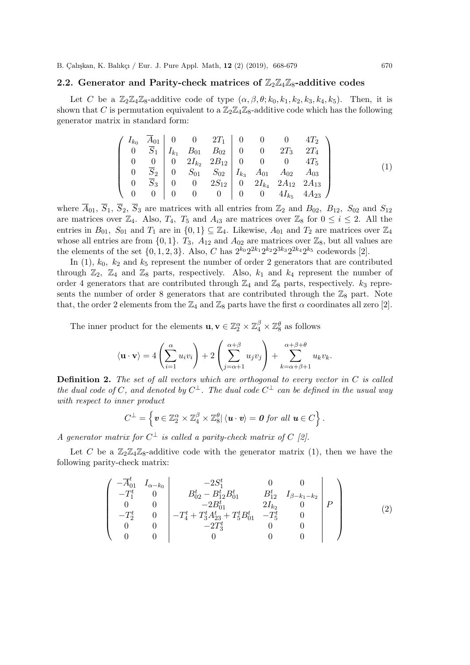### 2.2. Generator and Parity-check matrices of  $\mathbb{Z}_2\mathbb{Z}_4\mathbb{Z}_8$ -additive codes

Let C be a  $\mathbb{Z}_2\mathbb{Z}_4\mathbb{Z}_8$ -additive code of type  $(\alpha, \beta, \theta; k_0, k_1, k_2, k_3, k_4, k_5)$ . Then, it is shown that C is permutation equivalent to a  $\mathbb{Z}_2\mathbb{Z}_4\mathbb{Z}_8$ -additive code which has the following generator matrix in standard form:

$$
\begin{pmatrix}\nI_{k_0} & \overline{A}_{01} & 0 & 0 & 2T_1 & 0 & 0 & 0 & 4T_2 \\
0 & \overline{S}_1 & I_{k_1} & B_{01} & B_{02} & 0 & 0 & 2T_3 & 2T_4 \\
0 & 0 & 0 & 2I_{k_2} & 2B_{12} & 0 & 0 & 0 & 4T_5 \\
0 & \overline{S}_2 & 0 & S_{01} & S_{02} & I_{k_3} & A_{01} & A_{02} & A_{03} \\
0 & \overline{S}_3 & 0 & 0 & 2S_{12} & 0 & 2I_{k_4} & 2A_{12} & 2A_{13} \\
0 & 0 & 0 & 0 & 0 & 0 & 0 & 4I_{k_5} & 4A_{23}\n\end{pmatrix}
$$
\n(1)

where  $\overline{A}_{01}$ ,  $\overline{S}_1$ ,  $\overline{S}_2$ ,  $\overline{S}_3$  are matrices with all entries from  $\mathbb{Z}_2$  and  $B_{02}$ ,  $B_{12}$ ,  $S_{02}$  and  $S_{12}$ are matrices over  $\mathbb{Z}_4$ . Also,  $T_4$ ,  $T_5$  and  $A_{i3}$  are matrices over  $\mathbb{Z}_8$  for  $0 \le i \le 2$ . All the entries in  $B_{01}$ ,  $S_{01}$  and  $T_1$  are in  $\{0,1\} \subseteq \mathbb{Z}_4$ . Likewise,  $A_{01}$  and  $T_2$  are matrices over  $\mathbb{Z}_4$ whose all entries are from  $\{0, 1\}$ .  $T_3$ ,  $A_{12}$  and  $A_{02}$  are matrices over  $\mathbb{Z}_8$ , but all values are the elements of the set  $\{0, 1, 2, 3\}$ . Also, C has  $2^{k_0}2^{2k_1}2^{k_2}2^{3k_3}2^{2k_4}2^{k_5}$  codewords [2].

In  $(1)$ ,  $k_0$ ,  $k_2$  and  $k_5$  represent the number of order 2 generators that are contributed through  $\mathbb{Z}_2$ ,  $\mathbb{Z}_4$  and  $\mathbb{Z}_8$  parts, respectively. Also,  $k_1$  and  $k_4$  represent the number of order 4 generators that are contributed through  $\mathbb{Z}_4$  and  $\mathbb{Z}_8$  parts, respectively.  $k_3$  represents the number of order 8 generators that are contributed through the  $\mathbb{Z}_8$  part. Note that, the order 2 elements from the  $\mathbb{Z}_4$  and  $\mathbb{Z}_8$  parts have the first  $\alpha$  coordinates all zero [2].

The inner product for the elements  $\mathbf{u}, \mathbf{v} \in \mathbb{Z}_2^{\alpha} \times \mathbb{Z}_4^{\beta} \times \mathbb{Z}_8^{\theta}$  as follows

$$
\langle \mathbf{u} \cdot \mathbf{v} \rangle = 4 \left( \sum_{i=1}^{\alpha} u_i v_i \right) + 2 \left( \sum_{j=\alpha+1}^{\alpha+\beta} u_j v_j \right) + \sum_{k=\alpha+\beta+1}^{\alpha+\beta+\theta} u_k v_k.
$$

**Definition 2.** The set of all vectors which are orthogonal to every vector in  $C$  is called the dual code of C, and denoted by  $C^{\perp}$ . The dual code  $C^{\perp}$  can be defined in the usual way with respect to inner product

$$
C^{\perp} = \left\{ \boldsymbol{v} \in \mathbb{Z}_2^{\alpha} \times \mathbb{Z}_4^{\beta} \times \mathbb{Z}_8^{\theta} \vert \langle \boldsymbol{u} \cdot \boldsymbol{v} \rangle = \boldsymbol{0} \text{ for all } \boldsymbol{u} \in C \right\}.
$$

A generator matrix for  $C^{\perp}$  is called a parity-check matrix of C [2].

Let C be a  $\mathbb{Z}_2\mathbb{Z}_4\mathbb{Z}_8$ -additive code with the generator matrix (1), then we have the following parity-check matrix:

$$
\begin{pmatrix}\n-\overline{A}_{01}^{t} & I_{\alpha-k_{0}} & -2S_{1}^{t} & 0 & 0 \\
-T_{1}^{t} & 0 & B_{02}^{t} - B_{12}^{t} B_{01}^{t} & B_{12}^{t} & I_{\beta-k_{1}-k_{2}} \\
0 & 0 & -2B_{01}^{t} & 2I_{k_{2}} & 0 \\
-T_{2}^{t} & 0 & -T_{4}^{t} + T_{3}^{t} A_{23}^{t} + T_{5}^{t} B_{01}^{t} & -T_{5}^{t} & 0 \\
0 & 0 & -2T_{3}^{t} & 0 & 0 \\
0 & 0 & 0 & 0 & 0\n\end{pmatrix} P
$$
\n(2)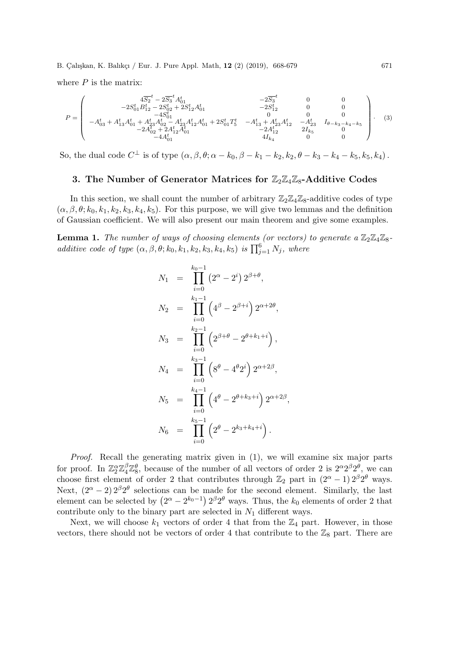where  $P$  is the matrix:

$$
P = \left(\begin{array}{cccc} 4\overline{S_2}^t - 2\overline{S_3}^t A_{01}^t & -2\overline{S_3}^t & 0 & 0 \\ -2S_{01}^t B_{12}^t - 2S_{02}^t + 2S_{12}^t A_{01}^t & 0 & 0 & 0 \\ -4S_{01}^t & -4S_{01}^t & 0 & 0 & 0 \\ -A_{03}^t + A_{13}^t A_{01}^t + A_{23}^t A_{02}^t - A_{23}^t A_{12}^t A_{01}^t + 2S_{01}^t T_5^t & -A_{13}^t + A_{23}^t A_{12}^t & -A_{23}^t & I_{\theta - k_3 - k_4 - k_5} \\ -2A_{02}^t + 2A_{12}^t A_{01}^t & 0 & -2A_{12}^t & 2I_{k_5}^t & 0 \\ -4A_{01}^t & 4I_{k_4} & 0 & 0 & 0 \end{array}\right). \eqno{(3)}
$$

So, the dual code  $C^{\perp}$  is of type  $(\alpha, \beta, \theta; \alpha - k_0, \beta - k_1 - k_2, k_2, \theta - k_3 - k_4 - k_5, k_5, k_4)$ .

# 3. The Number of Generator Matrices for  $\mathbb{Z}_2\mathbb{Z}_4\mathbb{Z}_8$ -Additive Codes

In this section, we shall count the number of arbitrary  $\mathbb{Z}_2\mathbb{Z}_4\mathbb{Z}_8$ -additive codes of type  $(\alpha, \beta, \theta; k_0, k_1, k_2, k_3, k_4, k_5)$ . For this purpose, we will give two lemmas and the definition of Gaussian coefficient. We will also present our main theorem and give some examples.

**Lemma 1.** The number of ways of choosing elements (or vectors) to generate a  $\mathbb{Z}_2\mathbb{Z}_4\mathbb{Z}_8$ additive code of type  $(\alpha, \beta, \theta; k_0, k_1, k_2, k_3, k_4, k_5)$  is  $\prod_{j=1}^6 N_j$ , where

$$
N_1 = \prod_{i=0}^{k_0-1} (2^{\alpha} - 2^i) 2^{\beta + \theta},
$$
  
\n
$$
N_2 = \prod_{i=0}^{k_1-1} (4^{\beta} - 2^{\beta + i}) 2^{\alpha + 2\theta},
$$
  
\n
$$
N_3 = \prod_{i=0}^{k_2-1} (2^{\beta + \theta} - 2^{\theta + k_1 + i}),
$$
  
\n
$$
N_4 = \prod_{i=0}^{k_3-1} (8^{\theta} - 4^{\theta} 2^i) 2^{\alpha + 2\beta},
$$
  
\n
$$
N_5 = \prod_{i=0}^{k_4-1} (4^{\theta} - 2^{\theta + k_3 + i}) 2^{\alpha + 2\beta},
$$
  
\n
$$
N_6 = \prod_{i=0}^{k_5-1} (2^{\theta} - 2^{k_3 + k_4 + i}).
$$

Proof. Recall the generating matrix given in (1), we will examine six major parts for proof. In  $\mathbb{Z}_2^{\alpha}\mathbb{Z}_4^{\beta}\mathbb{Z}_8^{\theta}$ , because of the number of all vectors of order 2 is  $2^{\alpha}2^{\beta}2^{\theta}$ , we can choose first element of order 2 that contributes through  $\mathbb{Z}_2$  part in  $(2^{\alpha}-1) 2^{\beta}2^{\theta}$  ways. Next,  $(2^{\alpha} - 2) 2^{\beta} 2^{\theta}$  selections can be made for the second element. Similarly, the last element can be selected by  $(2^{\alpha} - 2^{k_0-1}) 2^{\beta} 2^{\theta}$  ways. Thus, the  $k_0$  elements of order 2 that contribute only to the binary part are selected in  $N_1$  different ways.

Next, we will choose  $k_1$  vectors of order 4 that from the  $\mathbb{Z}_4$  part. However, in those vectors, there should not be vectors of order 4 that contribute to the  $\mathbb{Z}_8$  part. There are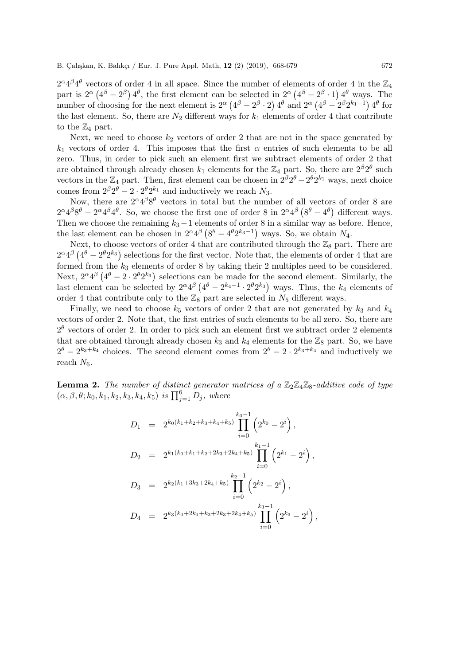$2^{\alpha}4^{\beta}4^{\theta}$  vectors of order 4 in all space. Since the number of elements of order 4 in the  $\mathbb{Z}_4$ part is  $2^{\alpha} (4^{\beta} - 2^{\beta}) 4^{\theta}$ , the first element can be selected in  $2^{\alpha} (4^{\beta} - 2^{\beta} \cdot 1) 4^{\theta}$  ways. The number of choosing for the next element is  $2^{\alpha} (4^{\beta} - 2^{\beta} \cdot 2) 4^{\theta}$  and  $2^{\alpha} (4^{\beta} - 2^{\beta} 2^{k_1-1}) 4^{\theta}$  for the last element. So, there are  $N_2$  different ways for  $k_1$  elements of order 4 that contribute to the  $\mathbb{Z}_4$  part.

Next, we need to choose  $k_2$  vectors of order 2 that are not in the space generated by  $k_1$  vectors of order 4. This imposes that the first  $\alpha$  entries of such elements to be all zero. Thus, in order to pick such an element first we subtract elements of order 2 that are obtained through already chosen  $k_1$  elements for the  $\mathbb{Z}_4$  part. So, there are  $2^{\beta}2^{\theta}$  such vectors in the  $\mathbb{Z}_4$  part. Then, first element can be chosen in  $2^{\beta}2^{\theta} - 2^{\theta}2^{k_1}$  ways, next choice comes from  $2^{\beta}2^{\theta} - 2 \cdot 2^{\theta}2^{k_1}$  and inductively we reach  $N_3$ .

Now, there are  $2^{\alpha}4^{\beta}8^{\theta}$  vectors in total but the number of all vectors of order 8 are  $2^{\alpha}4^{\beta}8^{\theta} - 2^{\alpha}4^{\beta}4^{\theta}$ . So, we choose the first one of order 8 in  $2^{\alpha}4^{\beta}(8^{\theta}-4^{\theta})$  different ways. Then we choose the remaining  $k_3-1$  elements of order 8 in a similar way as before. Hence, the last element can be chosen in  $2^{\alpha}4^{\beta}$  ( $8^{\theta} - 4^{\theta}2^{k_3-1}$ ) ways. So, we obtain  $N_4$ .

Next, to choose vectors of order 4 that are contributed through the  $\mathbb{Z}_8$  part. There are  $2^{\alpha}4^{\beta}(4^{\theta}-2^{\theta}2^{k_3})$  selections for the first vector. Note that, the elements of order 4 that are formed from the  $k_3$  elements of order 8 by taking their 2 multiples need to be considered. Next,  $2^{\alpha}4^{\beta}(4^{\theta}-2\cdot 2^{\theta}2^{k_3})$  selections can be made for the second element. Similarly, the last element can be selected by  $2^{\alpha}4^{\beta}\left(4^{\theta}-2^{k_4-1}\cdot 2^{\theta}2^{k_3}\right)$  ways. Thus, the  $k_4$  elements of order 4 that contribute only to the  $\mathbb{Z}_8$  part are selected in  $N_5$  different ways.

Finally, we need to choose  $k_5$  vectors of order 2 that are not generated by  $k_3$  and  $k_4$ vectors of order 2. Note that, the first entries of such elements to be all zero. So, there are  $2^{\theta}$  vectors of order 2. In order to pick such an element first we subtract order 2 elements that are obtained through already chosen  $k_3$  and  $k_4$  elements for the  $\mathbb{Z}_8$  part. So, we have  $2^{\theta} - 2^{k_3+k_4}$  choices. The second element comes from  $2^{\theta} - 2 \cdot 2^{k_3+k_4}$  and inductively we reach  $N_6$ .

**Lemma 2.** The number of distinct generator matrices of a  $\mathbb{Z}_2 \mathbb{Z}_4 \mathbb{Z}_8$ -additive code of type  $(\alpha, \beta, \theta; k_0, k_1, k_2, k_3, k_4, k_5)$  is  $\prod_{j=1}^6 D_j$ , where

$$
D_1 = 2^{k_0(k_1+k_2+k_3+k_4+k_5)} \prod_{i=0}^{k_0-1} \left( 2^{k_0} - 2^i \right),
$$
  
\n
$$
D_2 = 2^{k_1(k_0+k_1+k_2+2k_3+2k_4+k_5)} \prod_{i=0}^{k_1-1} \left( 2^{k_1} - 2^i \right),
$$
  
\n
$$
D_3 = 2^{k_2(k_1+3k_3+2k_4+k_5)} \prod_{i=0}^{k_2-1} \left( 2^{k_2} - 2^i \right),
$$
  
\n
$$
D_4 = 2^{k_3(k_0+2k_1+k_2+2k_3+2k_4+k_5)} \prod_{i=0}^{k_3-1} \left( 2^{k_3} - 2^i \right),
$$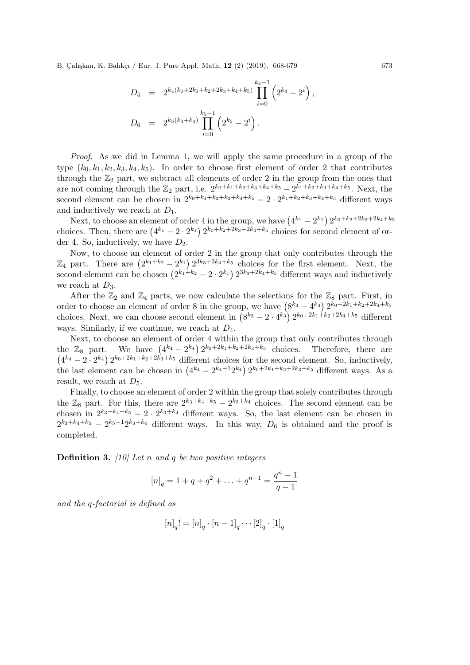B. Calıskan, K. Balıkçı / Eur. J. Pure Appl. Math, 12 (2) (2019), 668-679 673

$$
D_5 = 2^{k_4(k_0+2k_1+k_2+2k_3+k_4+k_5)} \prod_{i=0}^{k_4-1} \left(2^{k_4} - 2^i\right),
$$
  

$$
D_6 = 2^{k_5(k_3+k_4)} \prod_{i=0}^{k_5-1} \left(2^{k_5} - 2^i\right).
$$

Proof. As we did in Lemma 1, we will apply the same procedure in a group of the type  $(k_0, k_1, k_2, k_3, k_4, k_5)$ . In order to choose first element of order 2 that contributes through the  $\mathbb{Z}_2$  part, we subtract all elements of order 2 in the group from the ones that are not coming through the  $\mathbb{Z}_2$  part, i.e.  $2^{k_0+k_1+k_2+k_3+k_4+k_5} - 2^{k_1+k_2+k_3+k_4+k_5}$ . Next, the second element can be chosen in  $2^{k_0+k_1+k_2+k_3+k_4+k_5} - 2 \cdot 2^{k_1+k_2+k_3+k_4+k_5}$  different ways and inductively we reach at  $D_1$ .

Next, to choose an element of order 4 in the group, we have  $(4^{k_1} - 2^{k_1}) 2^{k_0 + k_2 + 2k_3 + 2k_4 + k_5}$ choices. Then, there are  $(4^{k_1} - 2 \cdot 2^{k_1}) 2^{k_0 + k_2 + 2k_3 + 2k_4 + k_5}$  choices for second element of order 4. So, inductively, we have  $D_2$ .

Now, to choose an element of order 2 in the group that only contributes through the  $\mathbb{Z}_4$  part. There are  $(2^{k_1+k_2}-2^{k_1}) 2^{3k_3+2k_4+k_5}$  choices for the first element. Next, the second element can be chosen  $(2^{k_1+k_2}-2 \cdot 2^{k_1}) 2^{3k_3+2k_4+k_5}$  different ways and inductively we reach at  $D_3$ .

After the  $\mathbb{Z}_2$  and  $\mathbb{Z}_4$  parts, we now calculate the selections for the  $\mathbb{Z}_8$  part. First, in order to choose an element of order 8 in the group, we have  $(8^{k_3} - 4^{k_3}) 2^{k_0+2k_1+k_2+2k_4+k_5}$ choices. Next, we can choose second element in  $(8^{k_3}-2 \cdot 4^{k_3}) 2^{k_0+2k_1+k_2+2k_4+k_5}$  different ways. Similarly, if we continue, we reach at  $D_4$ .

Next, to choose an element of order 4 within the group that only contributes through the  $\mathbb{Z}_8$  part. We have  $(4^{k_4}-2^{k_4}) 2^{k_0+2k_1+k_2+2k_3+k_5}$  choices. Therefore, there are  $(4^{k_4}-2\cdot 2^{k_4}) 2^{k_0+2k_1+k_2+2k_3+k_5}$  different choices for the second element. So, inductively, the last element can be chosen in  $(4^{k_4} - 2^{k_4-1}2^{k_4}) 2^{k_0+2k_1+k_2+2k_3+k_5}$  different ways. As a result, we reach at  $D_5$ .

Finally, to choose an element of order 2 within the group that solely contributes through the  $\mathbb{Z}_8$  part. For this, there are  $2^{k_3+k_4+k_5} - 2^{k_3+k_4}$  choices. The second element can be chosen in  $2^{k_3+k_4+k_5} - 2 \cdot 2^{k_3+k_4}$  different ways. So, the last element can be chosen in  $2^{k_3+k_4+k_5}-2^{k_5-1}2^{k_3+k_4}$  different ways. In this way,  $D_6$  is obtained and the proof is completed.

**Definition 3.** [10] Let n and q be two positive integers

$$
[n]_q = 1 + q + q^2 + \ldots + q^{n-1} = \frac{q^n - 1}{q - 1}
$$

and the q-factorial is defined as

$$
[n]_q! = [n]_q \cdot [n-1]_q \cdots [2]_q \cdot [1]_q
$$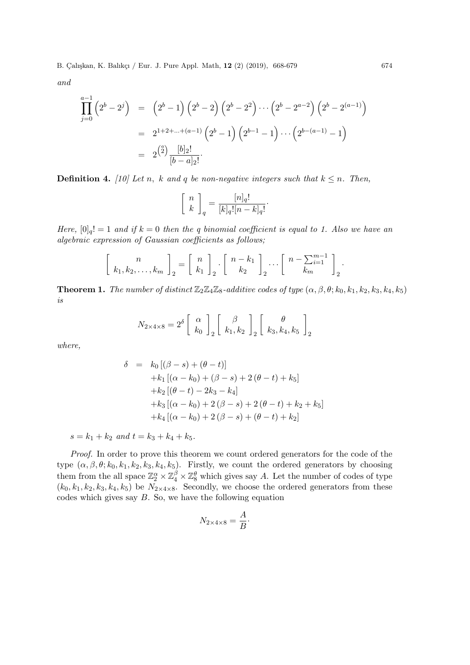B. Çalışkan, K. Balıkçı / Eur. J. Pure Appl. Math, 12 (2) (2019), 668-679 674

and

$$
\prod_{j=0}^{a-1} (2^{b} - 2^{j}) = (2^{b} - 1) (2^{b} - 2) (2^{b} - 2^{2}) \cdots (2^{b} - 2^{a-2}) (2^{b} - 2^{(a-1)})
$$
  
=  $2^{1+2+\dots+(a-1)} (2^{b} - 1) (2^{b-1} - 1) \cdots (2^{b-(a-1)} - 1)$   
=  $2^{2} \frac{[b]_{2}!}{[b-a]_{2}!}$ 

**Definition 4.** [10] Let n, k and q be non-negative integers such that  $k \leq n$ . Then,

$$
\left[\begin{array}{c} n \\ k \end{array}\right]_q = \frac{[n]_q!}{[k]_q! [n-k]_q!}.
$$

Here,  $[0]_q! = 1$  and if  $k = 0$  then the q binomial coefficient is equal to 1. Also we have an algebraic expression of Gaussian coefficients as follows;

$$
\left[\begin{array}{c}n\\k_1,k_2,\ldots,k_m\end{array}\right]_2=\left[\begin{array}{c}n\\k_1\end{array}\right]_2\cdot\left[\begin{array}{c}n-k_1\\k_2\end{array}\right]_2\cdots\left[\begin{array}{c}n-\sum_{i=1}^{m-1}\\k_m\end{array}\right]_2.
$$

**Theorem 1.** The number of distinct  $\mathbb{Z}_2\mathbb{Z}_4\mathbb{Z}_8$ -additive codes of type  $(\alpha, \beta, \theta; k_0, k_1, k_2, k_3, k_4, k_5)$ is

$$
N_{2\times 4\times 8} = 2^{\delta} \left[ \begin{array}{c} \alpha \\ k_0 \end{array} \right]_2 \left[ \begin{array}{c} \beta \\ k_1, k_2 \end{array} \right]_2 \left[ \begin{array}{c} \theta \\ k_3, k_4, k_5 \end{array} \right]_2
$$

where,

$$
\delta = k_0 [(\beta - s) + (\theta - t)]
$$
  
+ k<sub>1</sub> [(\alpha - k<sub>0</sub>) + (\beta - s) + 2(\theta - t) + k<sub>5</sub>]  
+ k<sub>2</sub> [(\theta - t) - 2k<sub>3</sub> - k<sub>4</sub>]  
+ k<sub>3</sub> [(\alpha - k<sub>0</sub>) + 2(\beta - s) + 2(\theta - t) + k<sub>2</sub> + k<sub>5</sub>]  
+ k<sub>4</sub> [(\alpha - k<sub>0</sub>) + 2(\beta - s) + (\theta - t) + k<sub>2</sub>]

 $s = k_1 + k_2$  and  $t = k_3 + k_4 + k_5$ .

Proof. In order to prove this theorem we count ordered generators for the code of the type  $(\alpha, \beta, \theta; k_0, k_1, k_2, k_3, k_4, k_5)$ . Firstly, we count the ordered generators by choosing them from the all space  $\mathbb{Z}_2^{\alpha} \times \mathbb{Z}_4^{\beta} \times \mathbb{Z}_8^{\theta}$  which gives say A. Let the number of codes of type  $(k_0, k_1, k_2, k_3, k_4, k_5)$  be  $N_{2 \times 4 \times 8}$ . Secondly, we choose the ordered generators from these codes which gives say  $B$ . So, we have the following equation

$$
N_{2\times 4\times 8} = \frac{A}{B}.
$$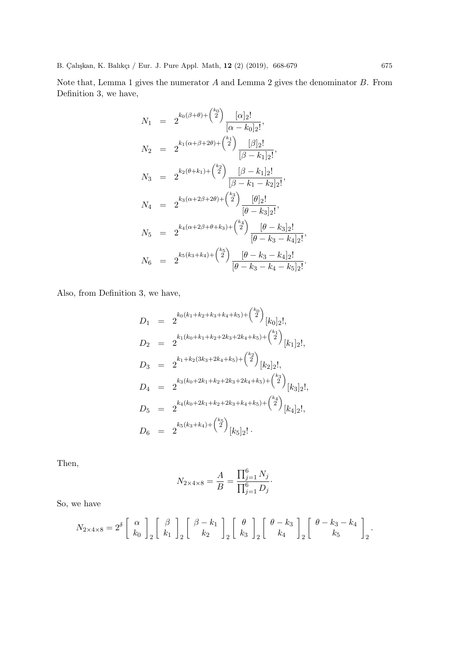Note that, Lemma 1 gives the numerator A and Lemma 2 gives the denominator B. From Definition 3, we have,

$$
N_1 = 2^{k_0(\beta+\theta)+\binom{k_0}{2}} \frac{[\alpha]_2!}{[\alpha-k_0]_2!},
$$
  
\n
$$
N_2 = 2^{k_1(\alpha+\beta+2\theta)+\binom{k_1}{2}} \frac{[\beta]_2!}{[\beta-k_1]_2!},
$$
  
\n
$$
N_3 = 2^{k_2(\theta+k_1)+\binom{k_2}{2}} \frac{[\beta-k_1]_2!}{[\beta-k_1-k_2]_2!},
$$
  
\n
$$
N_4 = 2^{k_3(\alpha+2\beta+2\theta)+\binom{k_3}{2}} \frac{[\theta]_2!}{[\theta-k_3]_2!},
$$
  
\n
$$
N_5 = 2^{k_4(\alpha+2\beta+\theta+k_3)+\binom{k_4}{2}} \frac{[\theta-k_3]_2!}{[\theta-k_3-k_4]_2!},
$$
  
\n
$$
N_6 = 2^{k_5(k_3+k_4)+\binom{k_5}{2}} \frac{[\theta-k_3-k_4]_2!}{[\theta-k_3-k_4-k_5]_2!}.
$$

Also, from Definition 3, we have,

$$
D_1 = 2^{k_0(k_1+k_2+k_3+k_4+k_5)+\binom{k_0}{2}}[k_0]_2!,
$$
  
\n
$$
D_2 = 2^{k_1(k_0+k_1+k_2+2k_3+2k_4+k_5)+\binom{k_1}{2}}[k_1]_2!,
$$
  
\n
$$
D_3 = 2^{k_1+k_2(3k_3+2k_4+k_5)+\binom{k_2}{2}}[k_2]_2!,
$$
  
\n
$$
D_4 = 2^{k_3(k_0+2k_1+k_2+2k_3+2k_4+k_5)+\binom{k_3}{2}}[k_3]_2!,
$$
  
\n
$$
D_5 = 2^{k_4(k_0+2k_1+k_2+2k_3+k_4+k_5)+\binom{k_4}{2}}[k_4]_2!,
$$
  
\n
$$
D_6 = 2^{k_5(k_3+k_4)+\binom{k_5}{2}}[k_5]_2!.
$$

Then,

$$
N_{2\times 4\times 8} = \frac{A}{B} = \frac{\prod_{j=1}^6 N_j}{\prod_{j=1}^6 D_j}.
$$

So, we have

$$
N_{2\times 4\times 8} = 2^{\delta} \left[ \begin{array}{c} \alpha \\ k_0 \end{array} \right]_2 \left[ \begin{array}{c} \beta \\ k_1 \end{array} \right]_2 \left[ \begin{array}{c} \beta - k_1 \\ k_2 \end{array} \right]_2 \left[ \begin{array}{c} \theta \\ k_3 \end{array} \right]_2 \left[ \begin{array}{c} \theta - k_3 \\ k_4 \end{array} \right]_2 \left[ \begin{array}{c} \theta - k_3 - k_4 \\ k_5 \end{array} \right]_2.
$$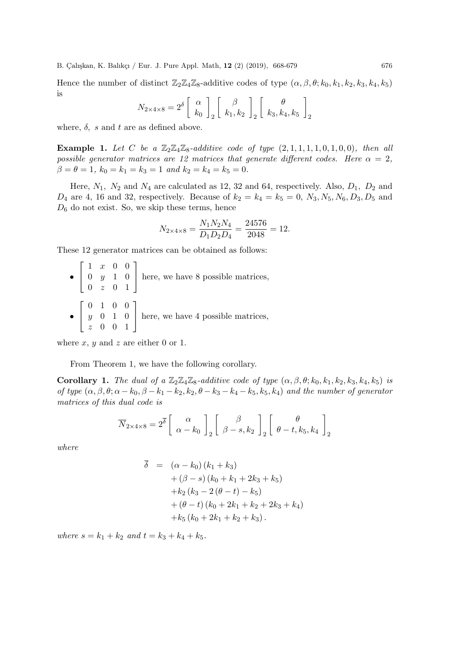B. Çalışkan, K. Balıkçı / Eur. J. Pure Appl. Math, 12 (2) (2019), 668-679 676

Hence the number of distinct  $\mathbb{Z}_2\mathbb{Z}_4\mathbb{Z}_8$ -additive codes of type  $(\alpha, \beta, \theta; k_0, k_1, k_2, k_3, k_4, k_5)$ is

$$
N_{2\times4\times8} = 2^{\delta} \left[ \begin{array}{c} \alpha \\ k_0 \end{array} \right]_2 \left[ \begin{array}{c} \beta \\ k_1, k_2 \end{array} \right]_2 \left[ \begin{array}{c} \theta \\ k_3, k_4, k_5 \end{array} \right]_2
$$

where,  $\delta$ , s and t are as defined above.

**Example 1.** Let C be a  $\mathbb{Z}_2\mathbb{Z}_4\mathbb{Z}_8$ -additive code of type  $(2,1,1,1,1,0,1,0,0)$ , then all possible generator matrices are 12 matrices that generate different codes. Here  $\alpha = 2$ ,  $\beta = \theta = 1, k_0 = k_1 = k_3 = 1$  and  $k_2 = k_4 = k_5 = 0$ .

Here,  $N_1$ ,  $N_2$  and  $N_4$  are calculated as 12, 32 and 64, respectively. Also,  $D_1$ ,  $D_2$  and  $D_4$  are 4, 16 and 32, respectively. Because of  $k_2 = k_4 = k_5 = 0$ ,  $N_3, N_5, N_6, D_3, D_5$  and  $D_6$  do not exist. So, we skip these terms, hence

$$
N_{2 \times 4 \times 8} = \frac{N_1 N_2 N_4}{D_1 D_2 D_4} = \frac{24576}{2048} = 12.
$$

These 12 generator matrices can be obtained as follows:

•  $\sqrt{ }$  $\overline{\phantom{a}}$ 1 x 0 0 0 y 1 0  $0 \quad z \quad 0 \quad 1$ 1 here, we have 8 possible matrices, •  $\sqrt{ }$  $\overline{\phantom{a}}$ 0 1 0 0 y 0 1 0 z 0 0 1 1 here, we have 4 possible matrices,

where  $x, y$  and  $z$  are either 0 or 1.

From Theorem 1, we have the following corollary.

Corollary 1. The dual of a  $\mathbb{Z}_2\mathbb{Z}_4\mathbb{Z}_8$ -additive code of type  $(\alpha, \beta, \theta; k_0, k_1, k_2, k_3, k_4, k_5)$  is of type  $(\alpha, \beta, \theta; \alpha - k_0, \beta - k_1 - k_2, k_2, \theta - k_3 - k_4 - k_5, k_5, k_4)$  and the number of generator matrices of this dual code is

$$
\overline{N}_{2\times 4\times 8} = 2^{\overline{\delta}} \left[ \begin{array}{c} \alpha \\ \alpha - k_0 \end{array} \right]_2 \left[ \begin{array}{c} \beta \\ \beta - s, k_2 \end{array} \right]_2 \left[ \begin{array}{c} \theta \\ \theta - t, k_5, k_4 \end{array} \right]_2
$$

where

$$
\overline{\delta} = (\alpha - k_0) (k_1 + k_3) \n+ (\beta - s) (k_0 + k_1 + 2k_3 + k_5) \n+ k_2 (k_3 - 2(\theta - t) - k_5) \n+ (\theta - t) (k_0 + 2k_1 + k_2 + 2k_3 + k_4) \n+ k_5 (k_0 + 2k_1 + k_2 + k_3).
$$

where  $s = k_1 + k_2$  and  $t = k_3 + k_4 + k_5$ .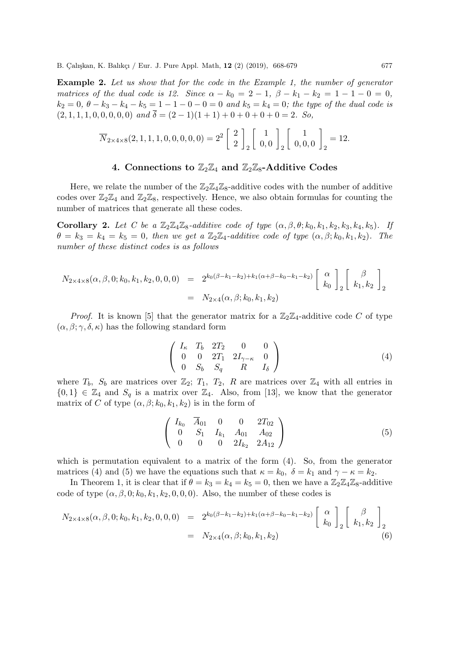Example 2. Let us show that for the code in the Example 1, the number of generator matrices of the dual code is 12. Since  $\alpha - k_0 = 2 - 1$ ,  $\beta - k_1 - k_2 = 1 - 1 - 0 = 0$ ,  $k_2 = 0, \theta - k_3 - k_4 - k_5 = 1 - 1 - 0 - 0 = 0$  and  $k_5 = k_4 = 0$ ; the type of the dual code is  $(2, 1, 1, 1, 0, 0, 0, 0, 0)$  and  $\overline{\delta} = (2 - 1)(1 + 1) + 0 + 0 + 0 + 0 = 2$ . So,

$$
\overline{N}_{2\times 4\times 8}(2,1,1,1,0,0,0,0,0) = 2^{2} \begin{bmatrix} 2 \\ 2 \end{bmatrix}_{2} \begin{bmatrix} 1 \\ 0,0 \end{bmatrix}_{2} \begin{bmatrix} 1 \\ 0,0,0 \end{bmatrix}_{2} = 12.
$$

### 4. Connections to  $\mathbb{Z}_2\mathbb{Z}_4$  and  $\mathbb{Z}_2\mathbb{Z}_8$ -Additive Codes

Here, we relate the number of the  $\mathbb{Z}_2\mathbb{Z}_4\mathbb{Z}_8$ -additive codes with the number of additive codes over  $\mathbb{Z}_2\mathbb{Z}_4$  and  $\mathbb{Z}_2\mathbb{Z}_8$ , respectively. Hence, we also obtain formulas for counting the number of matrices that generate all these codes.

**Corollary 2.** Let C be a  $\mathbb{Z}_2\mathbb{Z}_4\mathbb{Z}_8$ -additive code of type  $(\alpha, \beta, \theta; k_0, k_1, k_2, k_3, k_4, k_5)$ . If  $\theta = k_3 = k_4 = k_5 = 0$ , then we get a  $\mathbb{Z}_2 \mathbb{Z}_4$ -additive code of type  $(\alpha, \beta; k_0, k_1, k_2)$ . The number of these distinct codes is as follows

$$
N_{2\times 4\times 8}(\alpha,\beta,0;k_0,k_1,k_2,0,0,0) = 2^{k_0(\beta-k_1-k_2)+k_1(\alpha+\beta-k_0-k_1-k_2)} \begin{bmatrix} \alpha \\ k_0 \end{bmatrix}_{2} \begin{bmatrix} \beta \\ k_1, k_2 \end{bmatrix}_{2}
$$
  
=  $N_{2\times 4}(\alpha,\beta;k_0,k_1,k_2)$ 

*Proof.* It is known [5] that the generator matrix for a  $\mathbb{Z}_2\mathbb{Z}_4$ -additive code C of type  $(\alpha, \beta; \gamma, \delta, \kappa)$  has the following standard form

$$
\left(\begin{array}{cccc} I_{\kappa} & T_b & 2T_2 & 0 & 0\\ 0 & 0 & 2T_1 & 2I_{\gamma-\kappa} & 0\\ 0 & S_b & S_q & R & I_{\delta} \end{array}\right) \tag{4}
$$

where  $T_b$ ,  $S_b$  are matrices over  $\mathbb{Z}_2$ ;  $T_1$ ,  $T_2$ , R are matrices over  $\mathbb{Z}_4$  with all entries in  $\{0,1\} \in \mathbb{Z}_4$  and  $S_q$  is a matrix over  $\mathbb{Z}_4$ . Also, from [13], we know that the generator matrix of C of type  $(\alpha, \beta; k_0, k_1, k_2)$  is in the form of

$$
\left(\begin{array}{cccc} I_{k_0} & \overline{A}_{01} & 0 & 0 & 2T_{02} \\ 0 & S_1 & I_{k_1} & A_{01} & A_{02} \\ 0 & 0 & 0 & 2I_{k_2} & 2A_{12} \end{array}\right) \tag{5}
$$

which is permutation equivalent to a matrix of the form  $(4)$ . So, from the generator matrices (4) and (5) we have the equations such that  $\kappa = k_0$ ,  $\delta = k_1$  and  $\gamma - \kappa = k_2$ .

In Theorem 1, it is clear that if  $\theta = k_3 = k_4 = k_5 = 0$ , then we have a  $\mathbb{Z}_2\mathbb{Z}_4\mathbb{Z}_8$ -additive code of type  $(\alpha, \beta, 0; k_0, k_1, k_2, 0, 0, 0)$ . Also, the number of these codes is

$$
N_{2\times 4\times 8}(\alpha, \beta, 0; k_0, k_1, k_2, 0, 0, 0) = 2^{k_0(\beta - k_1 - k_2) + k_1(\alpha + \beta - k_0 - k_1 - k_2)} \begin{bmatrix} \alpha \\ k_0 \end{bmatrix}_{2} \begin{bmatrix} \beta \\ k_1, k_2 \end{bmatrix}_{2}
$$
  
=  $N_{2\times 4}(\alpha, \beta; k_0, k_1, k_2)$  (6)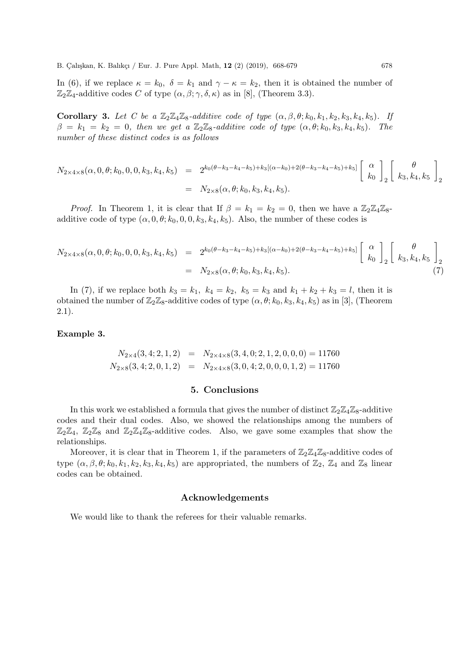In (6), if we replace  $\kappa = k_0$ ,  $\delta = k_1$  and  $\gamma - \kappa = k_2$ , then it is obtained the number of  $\mathbb{Z}_2\mathbb{Z}_4$ -additive codes C of type  $(\alpha, \beta; \gamma, \delta, \kappa)$  as in [8], (Theorem 3.3).

Corollary 3. Let C be a  $\mathbb{Z}_2\mathbb{Z}_4\mathbb{Z}_8$ -additive code of type  $(\alpha, \beta, \theta; k_0, k_1, k_2, k_3, k_4, k_5)$ . If  $\beta = k_1 = k_2 = 0$ , then we get a  $\mathbb{Z}_2 \mathbb{Z}_8$ -additive code of type  $(\alpha, \theta; k_0, k_3, k_4, k_5)$ . The number of these distinct codes is as follows

$$
N_{2\times4\times8}(\alpha,0,\theta;k_0,0,0,k_3,k_4,k_5) = 2^{k_0(\theta-k_3-k_4-k_5)+k_3[(\alpha-k_0)+2(\theta-k_3-k_4-k_5)+k_5]} \begin{bmatrix} \alpha \\ k_0 \end{bmatrix}_{2} \begin{bmatrix} \theta \\ k_3, k_4, k_5 \end{bmatrix}_{2}
$$
  
=  $N_{2\times8}(\alpha, \theta;k_0, k_3, k_4, k_5).$ 

*Proof.* In Theorem 1, it is clear that If  $\beta = k_1 = k_2 = 0$ , then we have a  $\mathbb{Z}_2\mathbb{Z}_4\mathbb{Z}_8$ additive code of type  $(\alpha, 0, \theta; k_0, 0, 0, k_3, k_4, k_5)$ . Also, the number of these codes is

$$
N_{2\times4\times8}(\alpha,0,\theta;k_0,0,0,k_3,k_4,k_5) = 2^{k_0(\theta-k_3-k_4-k_5)+k_3[(\alpha-k_0)+2(\theta-k_3-k_4-k_5)+k_5]} \begin{bmatrix} \alpha \\ k_0 \end{bmatrix}_{2} \begin{bmatrix} \theta \\ k_3, k_4, k_5 \end{bmatrix}_{2}
$$
  
=  $N_{2\times8}(\alpha,\theta;k_0,k_3,k_4,k_5).$  (7)

In (7), if we replace both  $k_3 = k_1$ ,  $k_4 = k_2$ ,  $k_5 = k_3$  and  $k_1 + k_2 + k_3 = l$ , then it is obtained the number of  $\mathbb{Z}_2\mathbb{Z}_8$ -additive codes of type  $(\alpha, \theta; k_0, k_3, k_4, k_5)$  as in [3], (Theorem 2.1).

#### Example 3.

$$
N_{2\times4}(3,4;2,1,2) = N_{2\times4\times8}(3,4,0;2,1,2,0,0,0) = 11760
$$
  

$$
N_{2\times8}(3,4;2,0,1,2) = N_{2\times4\times8}(3,0,4;2,0,0,0,1,2) = 11760
$$

#### 5. Conclusions

In this work we established a formula that gives the number of distinct  $\mathbb{Z}_2\mathbb{Z}_4\mathbb{Z}_8$ -additive codes and their dual codes. Also, we showed the relationships among the numbers of  $\mathbb{Z}_2\mathbb{Z}_4$ ,  $\mathbb{Z}_2\mathbb{Z}_8$  and  $\mathbb{Z}_2\mathbb{Z}_4\mathbb{Z}_8$ -additive codes. Also, we gave some examples that show the relationships.

Moreover, it is clear that in Theorem 1, if the parameters of  $\mathbb{Z}_2\mathbb{Z}_4\mathbb{Z}_8$ -additive codes of type  $(\alpha, \beta, \theta; k_0, k_1, k_2, k_3, k_4, k_5)$  are appropriated, the numbers of  $\mathbb{Z}_2$ ,  $\mathbb{Z}_4$  and  $\mathbb{Z}_8$  linear codes can be obtained.

### Acknowledgements

We would like to thank the referees for their valuable remarks.